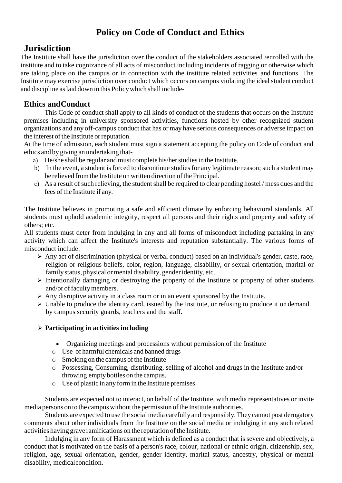# **Policy on Code of Conduct and Ethics**

## **Jurisdiction**

The Institute shall have the jurisdiction over the conduct of the stakeholders associated /enrolled with the institute and to take cognizance of all acts of misconduct including incidents of ragging or otherwise which are taking place on the campus or in connection with the institute related activities and functions. The Institute may exercise jurisdiction over conduct which occurs on campus violating the ideal student conduct and discipline aslaid down in this Policywhich shall include-

## **Ethics andConduct**

This Code of conduct shall apply to all kinds of conduct of the students that occurs on the Institute premises including in university sponsored activities, functions hosted by other recognized student organizations and any off-campus conduct that has or may have serious consequences or adverse impact on the interest of the Institute or reputation.

At the time of admission, each student must sign a statement accepting the policy on Code of conduct and ethics and by giving an undertaking that-

- a) He/she shall be regular and must complete his/her studies in the Institute.
- b) In the event, a student is forced to discontinue studies for any legitimate reason; such a student may be relieved from the Institute on written direction of the Principal.
- c) As a result of such relieving, the student shall be required to clear pending hostel / mess dues and the fees of the Institute if any.

The Institute believes in promoting a safe and efficient climate by enforcing behavioral standards. All students must uphold academic integrity, respect all persons and their rights and property and safety of others; etc.

All students must deter from indulging in any and all forms of misconduct including partaking in any activity which can affect the Institute's interests and reputation substantially. The various forms of misconduct include:

- $\triangleright$  Any act of discrimination (physical or verbal conduct) based on an individual's gender, caste, race, religion or religious beliefs, color, region, language, disability, or sexual orientation, marital or family status, physical or mental disability, gender identity, etc.
- $\triangleright$  Intentionally damaging or destroying the property of the Institute or property of other students and/or of faculty members.
- $\triangleright$  Any disruptive activity in a class room or in an event sponsored by the Institute.
- Unable to produce the identity card, issued by the Institute, or refusing to produce it on demand by campus security guards, teachers and the staff.

## **Participating in activities including**

- Organizing meetings and processions without permission of the Institute
- o Use of harmful chemicals and banned drugs
- $\circ$  Smoking on the campus of the Institute
- o Possessing, Consuming, distributing, selling of alcohol and drugs in the Institute and/or throwing empty bottles on the campus.
- o Use of plastic in any form in the Institute premises

Students are expected not to interact, on behalf of the Institute, with media representatives or invite media persons on to the campus without the permission of the Institute authorities.

Students are expected to use the social media carefully and responsibly. They cannot post derogatory comments about other individuals from the Institute on the social media or indulging in any such related activities having grave ramifications on the reputation of the Institute.

Indulging in any form of Harassment which is defined as a conduct that is severe and objectively, a conduct that is motivated on the basis of a person's race, colour, national or ethnic origin, citizenship, sex, religion, age, sexual orientation, gender, gender identity, marital status, ancestry, physical or mental disability, medicalcondition.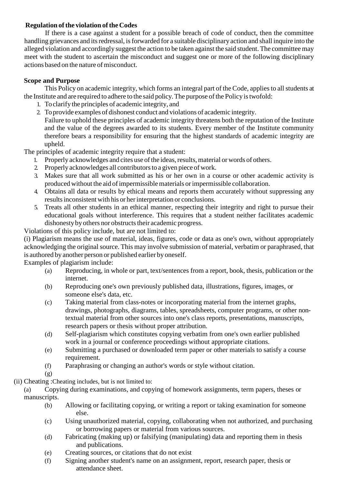### **Regulation of the violation of the Codes**

If there is a case against a student for a possible breach of code of conduct, then the committee handling grievances and its redressal, is forwarded for a suitable disciplinary action and shall inquire into the alleged violation and accordingly suggest the action to be taken against the said student.The committee may meet with the student to ascertain the misconduct and suggest one or more of the following disciplinary actions based on the nature of misconduct.

### **Scope and Purpose**

This Policy on academic integrity, which forms an integral part of the Code, appliesto allstudents at the Institute and are required to adhere to the said policy. The purpose of the Policy is twofold:

- 1. Toclarify the principles of academic integrity, and
- 2. Toprovide examples of dishonest conduct and violations of academic integrity.

Failure to uphold these principles of academic integrity threatens both the reputation of the Institute and the value of the degrees awarded to its students. Every member of the Institute community therefore bears a responsibility for ensuring that the highest standards of academic integrity are upheld.

The principles of academic integrity require that a student:

- 1. Properly acknowledges and cites use of the ideas, results, material or words of others.
- 2. Properly acknowledges all contributors to a given piece of work.
- 3. Makes sure that all work submitted as his or her own in a course or other academic activity is produced without the aid of impermissible materials or impermissible collaboration.
- 4. Obtains all data or results by ethical means and reports them accurately without suppressing any results inconsistent with his or her interpretation or conclusions.
- 5. Treats all other students in an ethical manner, respecting their integrity and right to pursue their educational goals without interference. This requires that a student neither facilitates academic dishonesty by others nor obstructs their academic progress.

Violations of this policy include, but are not limited to:

(i) Plagiarism means the use of material, ideas, figures, code or data as one's own, without appropriately acknowledging the original source. This may involve submission of material, verbatim or paraphrased, that is authored by another person or published earlier by oneself.

Examples of plagiarism include:

- (a) Reproducing, in whole or part, text/sentences from a report, book, thesis, publication or the internet.
- (b) Reproducing one's own previously published data, illustrations, figures, images, or someone else's data, etc.
- (c) Taking material from class-notes or incorporating material from the internet graphs, drawings, photographs, diagrams, tables, spreadsheets, computer programs, or other nontextual material from other sources into one's class reports, presentations, manuscripts, research papers or thesis without proper attribution.
- (d) Self-plagiarism which constitutes copying verbatim from one's own earlier published work in a journal or conference proceedings without appropriate citations.
- (e) Submitting a purchased or downloaded term paper or other materials to satisfy a course requirement.
- (f) Paraphrasing or changing an author's words or style without citation.
- (g)
- (ii) Cheating :Cheating includes, but is not limited to:

(a) Copying during examinations, and copying of homework assignments, term papers, theses or manuscripts.

- (b) Allowing or facilitating copying, or writing a report or taking examination for someone else.
- (c) Using unauthorized material, copying, collaborating when not authorized, and purchasing or borrowing papers or material from various sources.
- (d) Fabricating (making up) or falsifying (manipulating) data and reporting them in thesis and publications.
- (e) Creating sources, or citations that do not exist
- (f) Signing another student's name on an assignment, report, research paper, thesis or attendance sheet.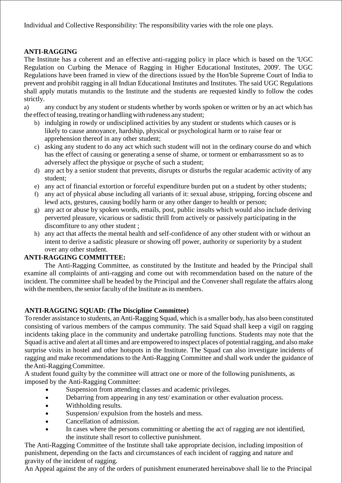Individual and Collective Responsibility: The responsibility varies with the role one plays.

## **ANTI-RAGGING**

The Institute has a coherent and an effective anti-ragging policy in place which is based on the 'UGC Regulation on Curbing the Menace of Ragging in Higher Educational Institutes, 2009'. The UGC Regulations have been framed in view of the directions issued by the Hon'ble Supreme Court of India to prevent and prohibit ragging in all Indian Educational Institutes and Institutes. The said UGC Regulations shall apply mutatis mutandis to the Institute and the students are requested kindly to follow the codes strictly.

a) any conduct by any student or students whether by words spoken or written or by an act which has the effect of teasing, treating or handling with rudeness any student;

- b) indulging in rowdy or undisciplined activities by any student or students which causes or is likely to cause annoyance, hardship, physical or psychological harm or to raise fear or apprehension thereof in any other student;
- c) asking any student to do any act which such student will not in the ordinary course do and which has the effect of causing or generating a sense of shame, or torment or embarrassment so as to adversely affect the physique or psyche of such a student;
- d) any act by a senior student that prevents, disrupts or disturbs the regular academic activity of any student;
- e) any act of financial extortion or forceful expenditure burden put on a student by other students;
- f) any act of physical abuse including all variants of it: sexual abuse, stripping, forcing obscene and lewd acts, gestures, causing bodily harm or any other danger to health or person;
- g) any act or abuse by spoken words, emails, post, public insults which would also include deriving perverted pleasure, vicarious or sadistic thrill from actively or passively participating in the discomfiture to any other student ;
- h) any act that affects the mental health and self-confidence of any other student with or without an intent to derive a sadistic pleasure or showing off power, authority or superiority by a student over any other student.

## **ANTI-RAGGING COMMITTEE:**

The Anti-Ragging Committee, as constituted by the Institute and headed by the Principal shall examine all complaints of anti-ragging and come out with recommendation based on the nature of the incident. The committee shall be headed by the Principal and the Convener shall regulate the affairs along with the members, the senior faculty of the Institute as its members.

## **ANTI-RAGGING SQUAD: (The Discipline Committee)**

To render assistance to students, anAnti-Ragging Squad, which is a smaller body, has also been constituted consisting of various members of the campus community. The said Squad shall keep a vigil on ragging incidents taking place in the community and undertake patrolling functions. Students may note that the Squad is active and alert at all times and are empowered to inspect places of potential ragging, and also make surprise visits in hostel and other hotspots in the Institute. The Squad can also investigate incidents of ragging and make recommendations to the Anti-Ragging Committee and shall work under the guidance of theAnti-RaggingCommittee.

A student found guilty by the committee will attract one or more of the following punishments, as imposed by the Anti-Ragging Committee:

- Suspension from attending classes and academic privileges.
- Debarring from appearing in any test/ examination or other evaluation process.
- Withholding results.
- Suspension/ expulsion from the hostels and mess.
- Cancellation of admission.
- In cases where the persons committing or abetting the act of ragging are not identified, the institute shall resort to collective punishment.

The Anti-Ragging Committee of the Institute shall take appropriate decision, including imposition of punishment, depending on the facts and circumstances of each incident of ragging and nature and gravity of the incident of ragging.

An Appeal against the any of the orders of punishment enumerated hereinabove shall lie to the Principal